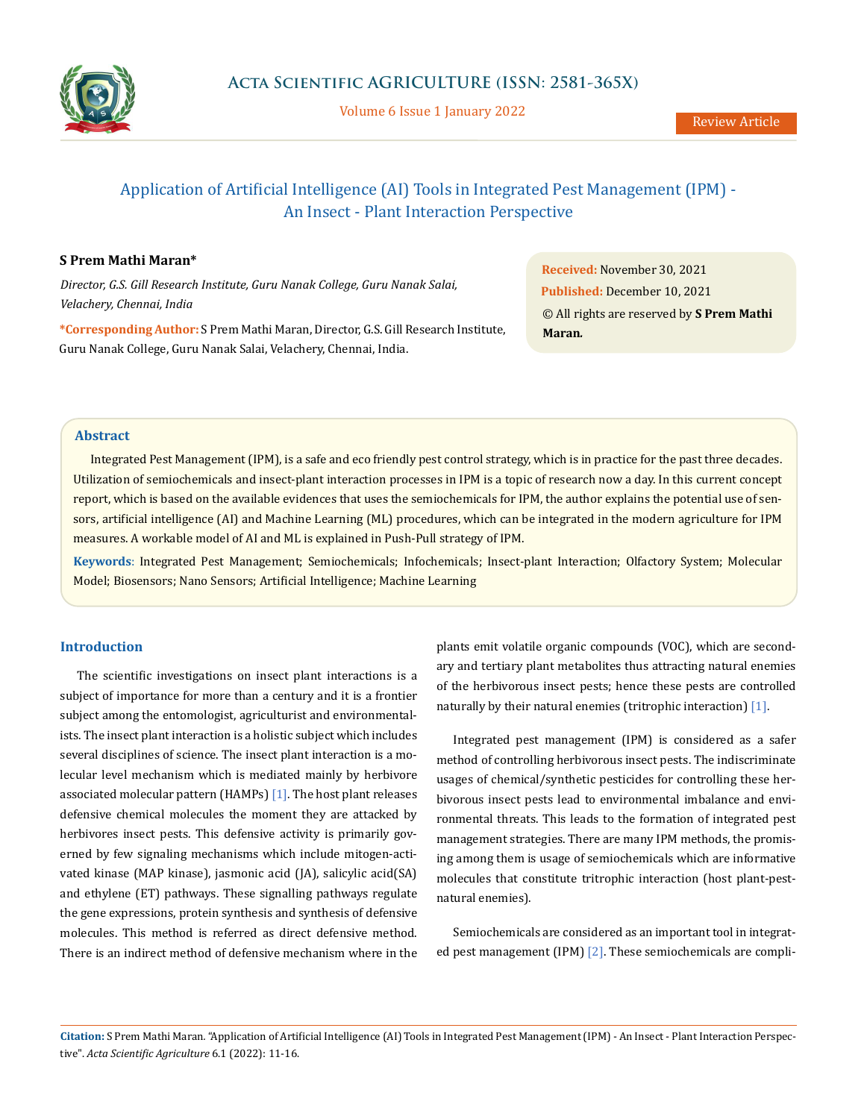

Volume 6 Issue 1 January 2022

# Application of Artificial Intelligence (AI) Tools in Integrated Pest Management (IPM) - An Insect - Plant Interaction Perspective

## **S Prem Mathi Maran\***

*Director, G.S. Gill Research Institute, Guru Nanak College, Guru Nanak Salai, Velachery, Chennai, India*

**\*Corresponding Author:** S Prem Mathi Maran, Director, G.S. Gill Research Institute, Guru Nanak College, Guru Nanak Salai, Velachery, Chennai, India.

**Received:** November 30, 2021 **Published:** December 10, 2021 © All rights are reserved by **S Prem Mathi Maran***.*

## **Abstract**

Integrated Pest Management (IPM), is a safe and eco friendly pest control strategy, which is in practice for the past three decades. Utilization of semiochemicals and insect-plant interaction processes in IPM is a topic of research now a day. In this current concept report, which is based on the available evidences that uses the semiochemicals for IPM, the author explains the potential use of sensors, artificial intelligence (AI) and Machine Learning (ML) procedures, which can be integrated in the modern agriculture for IPM measures. A workable model of AI and ML is explained in Push-Pull strategy of IPM.

**Keywords**: Integrated Pest Management; Semiochemicals; Infochemicals; Insect-plant Interaction; Olfactory System; Molecular Model; Biosensors; Nano Sensors; Artificial Intelligence; Machine Learning

## **Introduction**

The scientific investigations on insect plant interactions is a subject of importance for more than a century and it is a frontier subject among the entomologist, agriculturist and environmentalists. The insect plant interaction is a holistic subject which includes several disciplines of science. The insect plant interaction is a molecular level mechanism which is mediated mainly by herbivore associated molecular pattern (HAMPs) [1]. The host plant releases defensive chemical molecules the moment they are attacked by herbivores insect pests. This defensive activity is primarily governed by few signaling mechanisms which include mitogen-activated kinase (MAP kinase), jasmonic acid (JA), salicylic acid(SA) and ethylene (ET) pathways. These signalling pathways regulate the gene expressions, protein synthesis and synthesis of defensive molecules. This method is referred as direct defensive method. There is an indirect method of defensive mechanism where in the plants emit volatile organic compounds (VOC), which are secondary and tertiary plant metabolites thus attracting natural enemies of the herbivorous insect pests; hence these pests are controlled naturally by their natural enemies (tritrophic interaction) [1].

Integrated pest management (IPM) is considered as a safer method of controlling herbivorous insect pests. The indiscriminate usages of chemical/synthetic pesticides for controlling these herbivorous insect pests lead to environmental imbalance and environmental threats. This leads to the formation of integrated pest management strategies. There are many IPM methods, the promising among them is usage of semiochemicals which are informative molecules that constitute tritrophic interaction (host plant-pestnatural enemies).

Semiochemicals are considered as an important tool in integrated pest management (IPM) [2]. These semiochemicals are compli-

**Citation:** S Prem Mathi Maran*.* "Application of Artificial Intelligence (AI) Tools in Integrated Pest Management (IPM) - An Insect - Plant Interaction Perspective". *Acta Scientific Agriculture* 6.1 (2022): 11-16.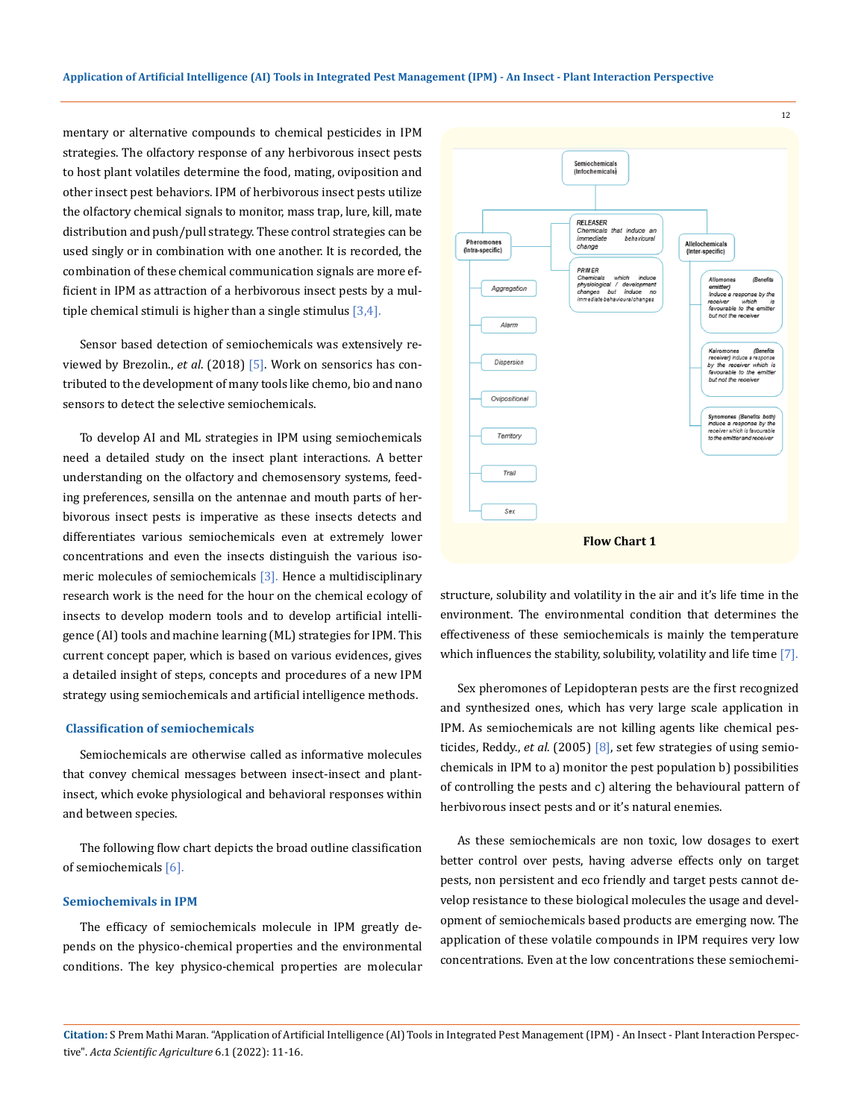mentary or alternative compounds to chemical pesticides in IPM strategies. The olfactory response of any herbivorous insect pests to host plant volatiles determine the food, mating, oviposition and other insect pest behaviors. IPM of herbivorous insect pests utilize the olfactory chemical signals to monitor, mass trap, lure, kill, mate distribution and push/pull strategy. These control strategies can be used singly or in combination with one another. It is recorded, the combination of these chemical communication signals are more efficient in IPM as attraction of a herbivorous insect pests by a multiple chemical stimuli is higher than a single stimulus  $[3,4]$ .

Sensor based detection of semiochemicals was extensively reviewed by Brezolin., *et al*. (2018) [5]. Work on sensorics has contributed to the development of many tools like chemo, bio and nano sensors to detect the selective semiochemicals.

To develop AI and ML strategies in IPM using semiochemicals need a detailed study on the insect plant interactions. A better understanding on the olfactory and chemosensory systems, feeding preferences, sensilla on the antennae and mouth parts of herbivorous insect pests is imperative as these insects detects and differentiates various semiochemicals even at extremely lower concentrations and even the insects distinguish the various isomeric molecules of semiochemicals [3]. Hence a multidisciplinary research work is the need for the hour on the chemical ecology of insects to develop modern tools and to develop artificial intelligence (AI) tools and machine learning (ML) strategies for IPM. This current concept paper, which is based on various evidences, gives a detailed insight of steps, concepts and procedures of a new IPM strategy using semiochemicals and artificial intelligence methods.

#### **Classification of semiochemicals**

Semiochemicals are otherwise called as informative molecules that convey chemical messages between insect-insect and plantinsect, which evoke physiological and behavioral responses within and between species.

The following flow chart depicts the broad outline classification of semiochemicals [6].

#### **Semiochemivals in IPM**

The efficacy of semiochemicals molecule in IPM greatly depends on the physico-chemical properties and the environmental conditions. The key physico-chemical properties are molecular



structure, solubility and volatility in the air and it's life time in the environment. The environmental condition that determines the effectiveness of these semiochemicals is mainly the temperature which influences the stability, solubility, volatility and life time [7].

Sex pheromones of Lepidopteran pests are the first recognized and synthesized ones, which has very large scale application in IPM. As semiochemicals are not killing agents like chemical pesticides, Reddy., *et al*. (2005) [8], set few strategies of using semiochemicals in IPM to a) monitor the pest population b) possibilities of controlling the pests and c) altering the behavioural pattern of herbivorous insect pests and or it's natural enemies.

As these semiochemicals are non toxic, low dosages to exert better control over pests, having adverse effects only on target pests, non persistent and eco friendly and target pests cannot develop resistance to these biological molecules the usage and development of semiochemicals based products are emerging now. The application of these volatile compounds in IPM requires very low concentrations. Even at the low concentrations these semiochemi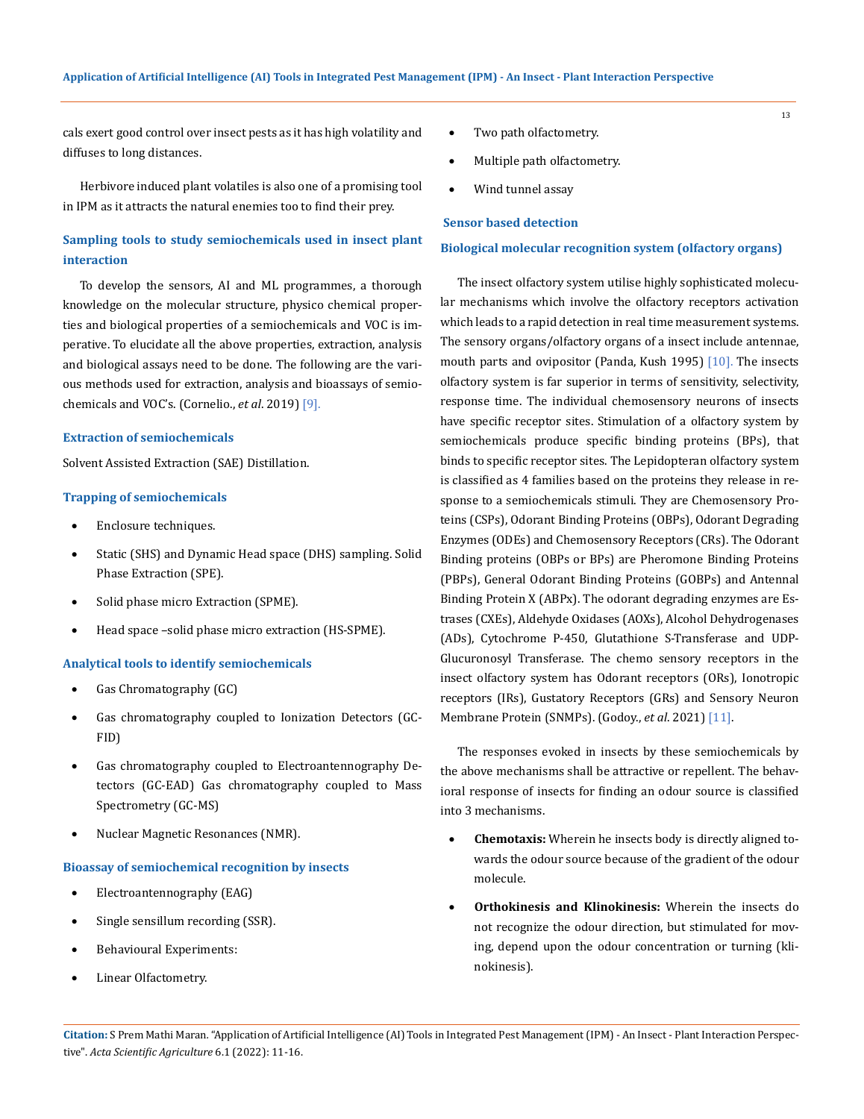cals exert good control over insect pests as it has high volatility and diffuses to long distances.

Herbivore induced plant volatiles is also one of a promising tool in IPM as it attracts the natural enemies too to find their prey.

## **Sampling tools to study semiochemicals used in insect plant interaction**

To develop the sensors, AI and ML programmes, a thorough knowledge on the molecular structure, physico chemical properties and biological properties of a semiochemicals and VOC is imperative. To elucidate all the above properties, extraction, analysis and biological assays need to be done. The following are the various methods used for extraction, analysis and bioassays of semiochemicals and VOC's. (Cornelio., *et al*. 2019) [9].

#### **Extraction of semiochemicals**

Solvent Assisted Extraction (SAE) Distillation.

## **Trapping of semiochemicals**

- Enclosure techniques.
- Static (SHS) and Dynamic Head space (DHS) sampling. Solid Phase Extraction (SPE).
- Solid phase micro Extraction (SPME).
- Head space -solid phase micro extraction (HS-SPME).

#### **Analytical tools to identify semiochemicals**

- Gas Chromatography (GC)
- Gas chromatography coupled to Ionization Detectors (GC-FID)
- Gas chromatography coupled to Electroantennography Detectors (GC-EAD) Gas chromatography coupled to Mass Spectrometry (GC-MS)
- Nuclear Magnetic Resonances (NMR).

#### **Bioassay of semiochemical recognition by insects**

- Electroantennography (EAG)
- Single sensillum recording (SSR).
- • Behavioural Experiments:
- • Linear Olfactometry.
- Two path olfactometry.
- Multiple path olfactometry.
- Wind tunnel assay

#### **Sensor based detection**

#### **Biological molecular recognition system (olfactory organs)**

13

The insect olfactory system utilise highly sophisticated molecular mechanisms which involve the olfactory receptors activation which leads to a rapid detection in real time measurement systems. The sensory organs/olfactory organs of a insect include antennae, mouth parts and ovipositor (Panda, Kush 1995) [10]. The insects olfactory system is far superior in terms of sensitivity, selectivity, response time. The individual chemosensory neurons of insects have specific receptor sites. Stimulation of a olfactory system by semiochemicals produce specific binding proteins (BPs), that binds to specific receptor sites. The Lepidopteran olfactory system is classified as 4 families based on the proteins they release in response to a semiochemicals stimuli. They are Chemosensory Proteins (CSPs), Odorant Binding Proteins (OBPs), Odorant Degrading Enzymes (ODEs) and Chemosensory Receptors (CRs). The Odorant Binding proteins (OBPs or BPs) are Pheromone Binding Proteins (PBPs), General Odorant Binding Proteins (GOBPs) and Antennal Binding Protein X (ABPx). The odorant degrading enzymes are Estrases (CXEs), Aldehyde Oxidases (AOXs), Alcohol Dehydrogenases (ADs), Cytochrome P-450, Glutathione S-Transferase and UDP-Glucuronosyl Transferase. The chemo sensory receptors in the insect olfactory system has Odorant receptors (ORs), Ionotropic receptors (IRs), Gustatory Receptors (GRs) and Sensory Neuron Membrane Protein (SNMPs). (Godoy., *et al*. 2021) [11].

The responses evoked in insects by these semiochemicals by the above mechanisms shall be attractive or repellent. The behavioral response of insects for finding an odour source is classified into 3 mechanisms.

- **Chemotaxis:** Wherein he insects body is directly aligned towards the odour source because of the gradient of the odour molecule.
- **Orthokinesis and Klinokinesis:** Wherein the insects do not recognize the odour direction, but stimulated for moving, depend upon the odour concentration or turning (klinokinesis).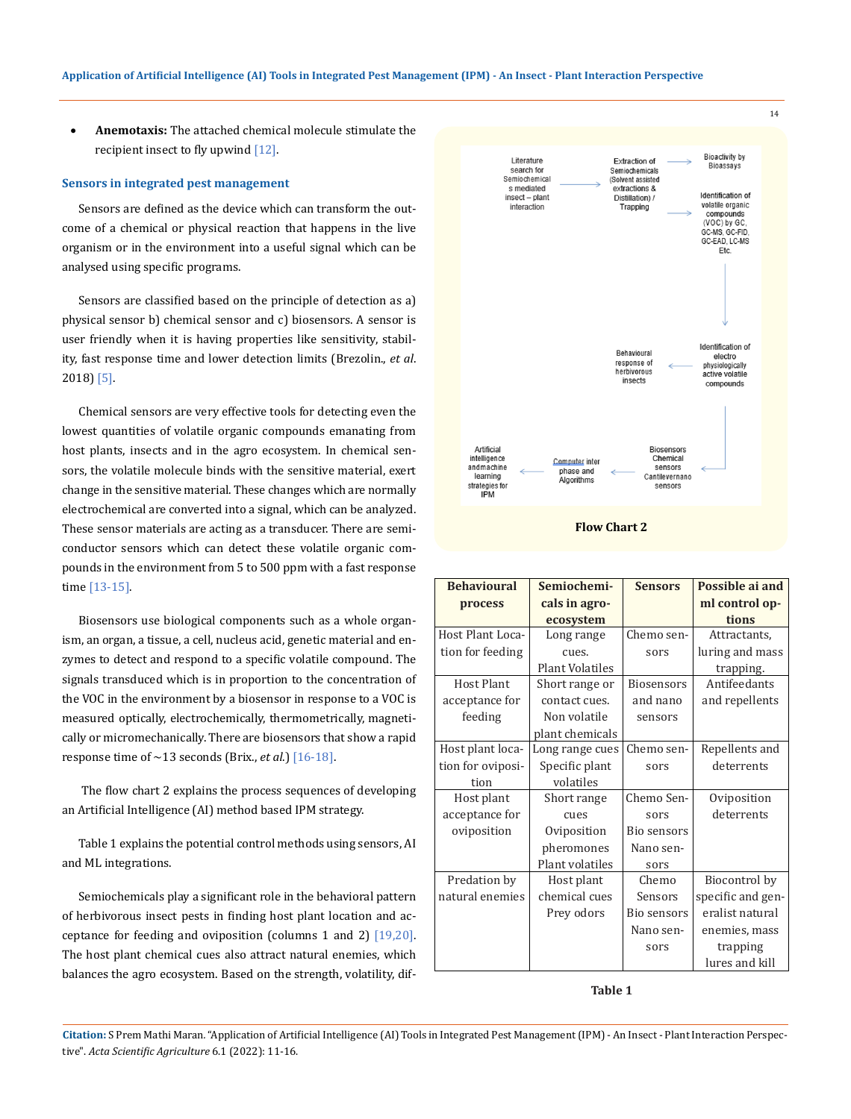**Anemotaxis:** The attached chemical molecule stimulate the recipient insect to fly upwind [12].

#### **Sensors in integrated pest management**

Sensors are defined as the device which can transform the outcome of a chemical or physical reaction that happens in the live organism or in the environment into a useful signal which can be analysed using specific programs.

Sensors are classified based on the principle of detection as a) physical sensor b) chemical sensor and c) biosensors. A sensor is user friendly when it is having properties like sensitivity, stability, fast response time and lower detection limits (Brezolin., *et al*. 2018) [5].

Chemical sensors are very effective tools for detecting even the lowest quantities of volatile organic compounds emanating from host plants, insects and in the agro ecosystem. In chemical sensors, the volatile molecule binds with the sensitive material, exert change in the sensitive material. These changes which are normally electrochemical are converted into a signal, which can be analyzed. These sensor materials are acting as a transducer. There are semiconductor sensors which can detect these volatile organic compounds in the environment from 5 to 500 ppm with a fast response time [13-15].

Biosensors use biological components such as a whole organism, an organ, a tissue, a cell, nucleus acid, genetic material and enzymes to detect and respond to a specific volatile compound. The signals transduced which is in proportion to the concentration of the VOC in the environment by a biosensor in response to a VOC is measured optically, electrochemically, thermometrically, magnetically or micromechanically. There are biosensors that show a rapid response time of  $\sim$ 13 seconds (Brix., *et al.*) [16-18].

 The flow chart 2 explains the process sequences of developing an Artificial Intelligence (AI) method based IPM strategy.

Table 1 explains the potential control methods using sensors, AI and ML integrations.

Semiochemicals play a significant role in the behavioral pattern of herbivorous insect pests in finding host plant location and acceptance for feeding and oviposition (columns 1 and 2) [19,20]. The host plant chemical cues also attract natural enemies, which balances the agro ecosystem. Based on the strength, volatility, dif-



**Flow Chart 2**

| <b>Behavioural</b> | Semiochemi-            | <b>Sensors</b>    | Possible ai and   |
|--------------------|------------------------|-------------------|-------------------|
| process            | cals in agro-          |                   | ml control op-    |
|                    | ecosystem              |                   | tions             |
| Host Plant Loca-   | Long range             | Chemo sen-        | Attractants,      |
| tion for feeding   | cues.                  | sors              | luring and mass   |
|                    | <b>Plant Volatiles</b> |                   | trapping.         |
| Host Plant         | Short range or         | <b>Biosensors</b> | Antifeedants      |
| acceptance for     | contact cues.          | and nano          | and repellents    |
| feeding            | Non volatile           | sensors           |                   |
|                    | plant chemicals        |                   |                   |
| Host plant loca-   | Long range cues        | Chemo sen-        | Repellents and    |
| tion for oviposi-  | Specific plant         | sors              | deterrents        |
| tion               | volatiles              |                   |                   |
| Host plant         | Short range            | Chemo Sen-        | Oviposition       |
| acceptance for     | cues                   | sors              | deterrents        |
| oviposition        | Oviposition            | Bio sensors       |                   |
|                    | pheromones             | Nano sen-         |                   |
|                    | Plant volatiles        | sors              |                   |
| Predation by       | Host plant             | Chemo             | Biocontrol by     |
| natural enemies    | chemical cues          | Sensors           | specific and gen- |
|                    | Prey odors             | Bio sensors       | eralist natural   |
|                    |                        | Nano sen-         | enemies, mass     |
|                    |                        | sors              | trapping          |
|                    |                        |                   | lures and kill    |

#### **Table 1**

**Citation:** S Prem Mathi Maran*.* "Application of Artificial Intelligence (AI) Tools in Integrated Pest Management (IPM) - An Insect - Plant Interaction Perspective". *Acta Scientific Agriculture* 6.1 (2022): 11-16.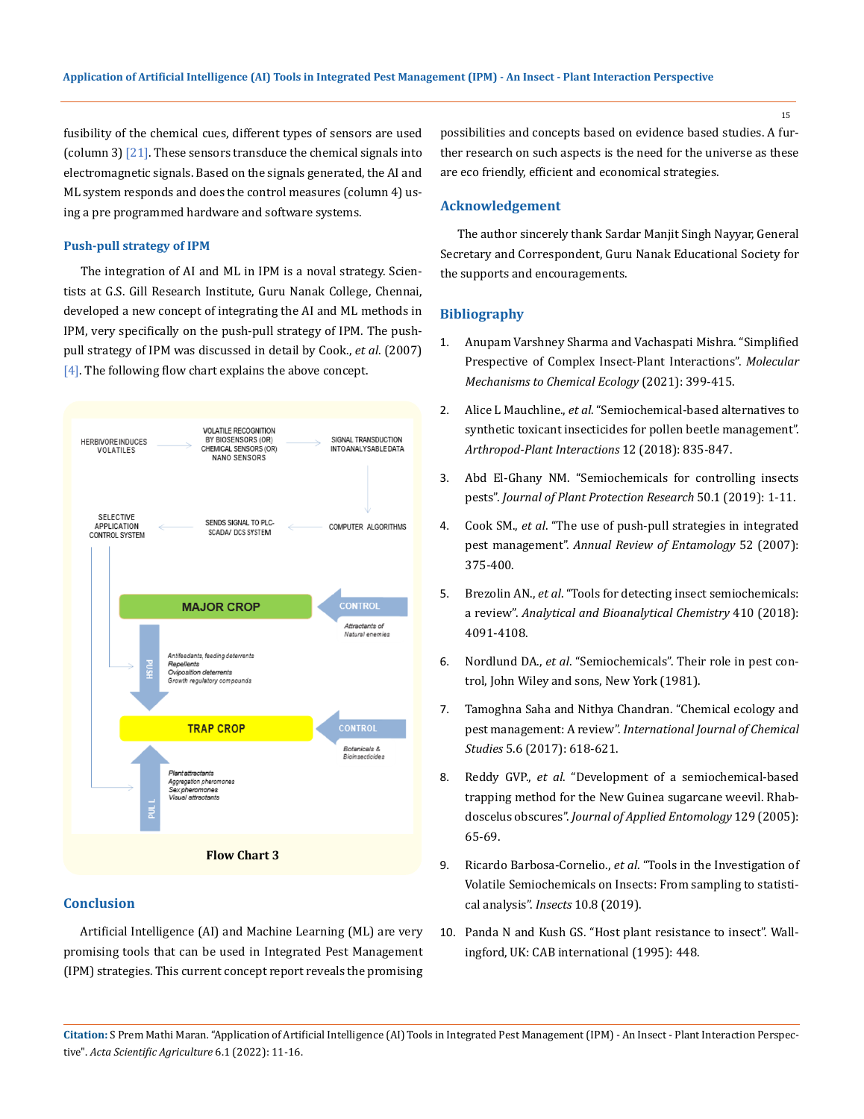fusibility of the chemical cues, different types of sensors are used (column 3) [21]. These sensors transduce the chemical signals into electromagnetic signals. Based on the signals generated, the AI and ML system responds and does the control measures (column 4) using a pre programmed hardware and software systems.

#### **Push-pull strategy of IPM**

The integration of AI and ML in IPM is a noval strategy. Scientists at G.S. Gill Research Institute, Guru Nanak College, Chennai, developed a new concept of integrating the AI and ML methods in IPM, very specifically on the push-pull strategy of IPM. The pushpull strategy of IPM was discussed in detail by Cook., *et al*. (2007) [4]. The following flow chart explains the above concept.



## **Conclusion**

Artificial Intelligence (AI) and Machine Learning (ML) are very promising tools that can be used in Integrated Pest Management (IPM) strategies. This current concept report reveals the promising

possibilities and concepts based on evidence based studies. A further research on such aspects is the need for the universe as these are eco friendly, efficient and economical strategies.

## **Acknowledgement**

The author sincerely thank Sardar Manjit Singh Nayyar, General Secretary and Correspondent, Guru Nanak Educational Society for the supports and encouragements.

## **Bibliography**

- 1. [Anupam Varshney Sharma and Vachaspati Mishra. "Simplified](https://www.researchgate.net/publication/348601719_Simplified_Perspective_of_Complex_Insect-Plant_Interactions)  [Prespective of Complex Insect-Plant Interactions".](https://www.researchgate.net/publication/348601719_Simplified_Perspective_of_Complex_Insect-Plant_Interactions) *Molecular [Mechanisms to Chemical Ecology](https://www.researchgate.net/publication/348601719_Simplified_Perspective_of_Complex_Insect-Plant_Interactions)* (2021): 399-415.
- 2. Alice L Mauchline., *et al*[. "Semiochemical-based alternatives to](https://link.springer.com/article/10.1007/s11829-017-9569-6)  [synthetic toxicant insecticides for pollen beetle management".](https://link.springer.com/article/10.1007/s11829-017-9569-6)  *[Arthropod-Plant Interactions](https://link.springer.com/article/10.1007/s11829-017-9569-6)* 12 (2018): 835-847.
- 3. [Abd El-Ghany NM. "Semiochemicals for controlling insects](http://www.plantprotection.pl/Issue-1-2019,6628)  pests". *[Journal of Plant Protection Research](http://www.plantprotection.pl/Issue-1-2019,6628)* 50.1 (2019): 1-11.
- 4. Cook SM., *et al*[. "The use of push-pull strategies in integrated](https://www.annualreviews.org/doi/10.1146/annurev.ento.52.110405.091407)  pest management". *[Annual Review of Entamology](https://www.annualreviews.org/doi/10.1146/annurev.ento.52.110405.091407)* 52 (2007): [375-400.](https://www.annualreviews.org/doi/10.1146/annurev.ento.52.110405.091407)
- 5. Brezolin AN., *et al*[. "Tools for detecting insect semiochemicals:](https://link.springer.com/article/10.1007/s00216-018-1118-3)  a review". *[Analytical and Bioanalytical Chemistry](https://link.springer.com/article/10.1007/s00216-018-1118-3)* 410 (2018): [4091-4108.](https://link.springer.com/article/10.1007/s00216-018-1118-3)
- 6. Nordlund DA., *et al*. "Semiochemicals". Their role in pest control, John Wiley and sons, New York (1981).
- 7. Tamoghna Saha and Nithya Chandran. "Chemical ecology and pest management: A review". *International Journal of Chemical Studies* 5.6 (2017): 618-621.
- 8. Reddy GVP., *et al*[. "Development of a semiochemical-based](https://citeseerx.ist.psu.edu/viewdoc/download?doi=10.1.1.562.5821&rep=rep1&type=pdf)  [trapping method for the New Guinea sugarcane weevil. Rhab](https://citeseerx.ist.psu.edu/viewdoc/download?doi=10.1.1.562.5821&rep=rep1&type=pdf)doscelus obscures". *[Journal of Applied Entomology](https://citeseerx.ist.psu.edu/viewdoc/download?doi=10.1.1.562.5821&rep=rep1&type=pdf)* 129 (2005): [65-69.](https://citeseerx.ist.psu.edu/viewdoc/download?doi=10.1.1.562.5821&rep=rep1&type=pdf)
- 9. Ricardo Barbosa-Cornelio., *et al*[. "Tools in the Investigation of](https://www.mdpi.com/2075-4450/10/8/241)  [Volatile Semiochemicals on Insects: From sampling to statisti](https://www.mdpi.com/2075-4450/10/8/241)[cal analysis".](https://www.mdpi.com/2075-4450/10/8/241) *Insects* 10.8 (2019).
- 10. Panda N and Kush GS. "Host plant resistance to insect". Wallingford, UK: CAB international (1995): 448.

**Citation:** S Prem Mathi Maran*.* "Application of Artificial Intelligence (AI) Tools in Integrated Pest Management (IPM) - An Insect - Plant Interaction Perspective". *Acta Scientific Agriculture* 6.1 (2022): 11-16.

15